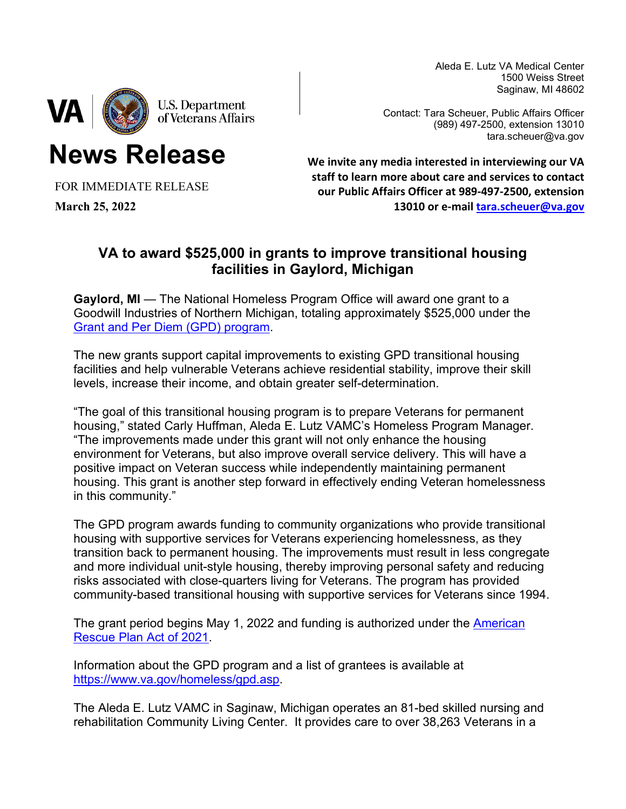Aleda E. Lutz VA Medical Center 1500 Weiss Street Saginaw, MI 48602



**News Release**

Contact: Tara Scheuer, Public Affairs Officer (989) 497-2500, extension 13010 tara.scheuer@va.gov

FOR IMMEDIATE RELEASE

**March 25, 2022**

**We invite any media interested in interviewing our VA staff to learn more about care and services to contact our Public Affairs Officer at 989-497-2500, extension 13010 or e-mail [tara.scheuer@va.gov](mailto:tara.scheuer@va.gov)**

## **VA to award \$525,000 in grants to improve transitional housing facilities in Gaylord, Michigan**

**Gaylord, MI** — The National Homeless Program Office will award one grant to a Goodwill Industries of Northern Michigan, totaling approximately \$525,000 under the [Grant and Per Diem \(GPD\) program.](https://www.va.gov/homeless/gpd.asp)

The new grants support capital improvements to existing GPD transitional housing facilities and help vulnerable Veterans achieve residential stability, improve their skill levels, increase their income, and obtain greater self-determination.

"The goal of this transitional housing program is to prepare Veterans for permanent housing," stated Carly Huffman, Aleda E. Lutz VAMC's Homeless Program Manager. "The improvements made under this grant will not only enhance the housing environment for Veterans, but also improve overall service delivery. This will have a positive impact on Veteran success while independently maintaining permanent housing. This grant is another step forward in effectively ending Veteran homelessness in this community."

The GPD program awards funding to community organizations who provide transitional housing with supportive services for Veterans experiencing homelessness, as they transition back to permanent housing. The improvements must result in less congregate and more individual unit-style housing, thereby improving personal safety and reducing risks associated with close-quarters living for Veterans. The program has provided community-based transitional housing with supportive services for Veterans since 1994.

The grant period begins May 1, 2022 and funding is authorized under the **American** [Rescue Plan Act of 2021.](https://www.congress.gov/bill/117th-congress/house-bill/1319/text)

Information about the GPD program and a list of grantees is available at [https://www.va.gov/homeless/gpd.asp.](https://www.va.gov/homeless/gpd.asp)

The Aleda E. Lutz VAMC in Saginaw, Michigan operates an 81-bed skilled nursing and rehabilitation Community Living Center. It provides care to over 38,263 Veterans in a